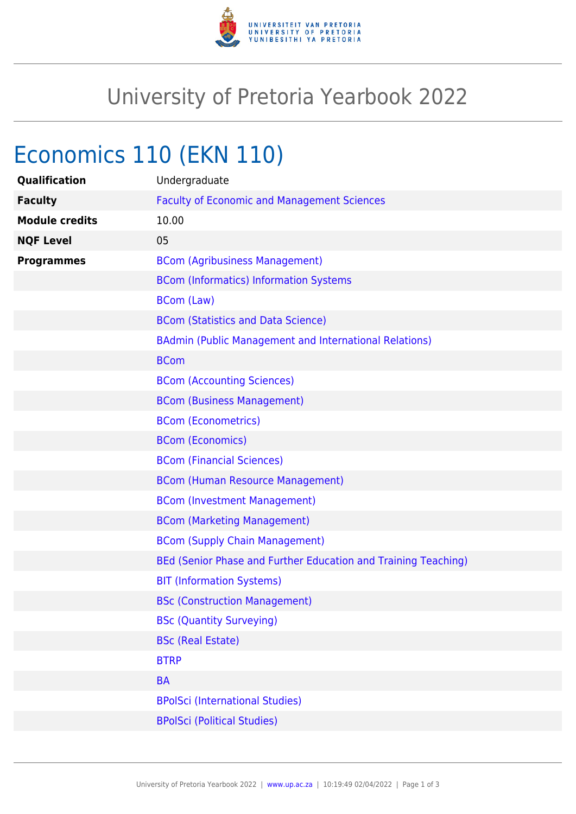

## University of Pretoria Yearbook 2022

## Economics 110 (EKN 110)

| Qualification         | Undergraduate                                                  |
|-----------------------|----------------------------------------------------------------|
| <b>Faculty</b>        | <b>Faculty of Economic and Management Sciences</b>             |
| <b>Module credits</b> | 10.00                                                          |
| <b>NQF Level</b>      | 05                                                             |
| <b>Programmes</b>     | <b>BCom (Agribusiness Management)</b>                          |
|                       | <b>BCom (Informatics) Information Systems</b>                  |
|                       | <b>BCom (Law)</b>                                              |
|                       | <b>BCom (Statistics and Data Science)</b>                      |
|                       | <b>BAdmin (Public Management and International Relations)</b>  |
|                       | <b>BCom</b>                                                    |
|                       | <b>BCom (Accounting Sciences)</b>                              |
|                       | <b>BCom (Business Management)</b>                              |
|                       | <b>BCom (Econometrics)</b>                                     |
|                       | <b>BCom (Economics)</b>                                        |
|                       | <b>BCom (Financial Sciences)</b>                               |
|                       | <b>BCom (Human Resource Management)</b>                        |
|                       | <b>BCom (Investment Management)</b>                            |
|                       | <b>BCom (Marketing Management)</b>                             |
|                       | <b>BCom (Supply Chain Management)</b>                          |
|                       | BEd (Senior Phase and Further Education and Training Teaching) |
|                       | <b>BIT (Information Systems)</b>                               |
|                       | <b>BSc (Construction Management)</b>                           |
|                       | <b>BSc (Quantity Surveying)</b>                                |
|                       | <b>BSc (Real Estate)</b>                                       |
|                       | <b>BTRP</b>                                                    |
|                       | <b>BA</b>                                                      |
|                       | <b>BPolSci (International Studies)</b>                         |
|                       | <b>BPolSci (Political Studies)</b>                             |
|                       |                                                                |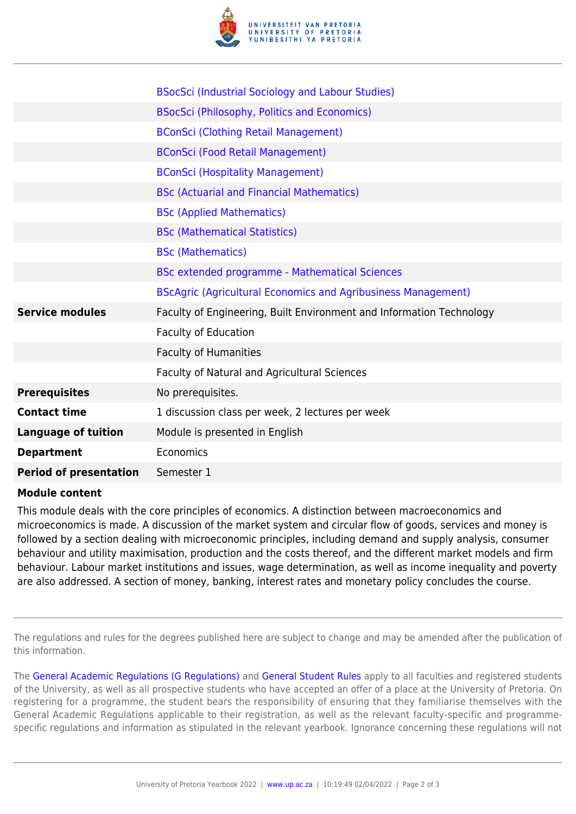

|                               | <b>BSocSci (Industrial Sociology and Labour Studies)</b>             |
|-------------------------------|----------------------------------------------------------------------|
|                               | BSocSci (Philosophy, Politics and Economics)                         |
|                               | <b>BConSci (Clothing Retail Management)</b>                          |
|                               | <b>BConSci (Food Retail Management)</b>                              |
|                               | <b>BConSci (Hospitality Management)</b>                              |
|                               | <b>BSc (Actuarial and Financial Mathematics)</b>                     |
|                               | <b>BSc (Applied Mathematics)</b>                                     |
|                               | <b>BSc (Mathematical Statistics)</b>                                 |
|                               | <b>BSc (Mathematics)</b>                                             |
|                               | BSc extended programme - Mathematical Sciences                       |
|                               | <b>BScAgric (Agricultural Economics and Agribusiness Management)</b> |
| <b>Service modules</b>        | Faculty of Engineering, Built Environment and Information Technology |
|                               | Faculty of Education                                                 |
|                               | <b>Faculty of Humanities</b>                                         |
|                               | Faculty of Natural and Agricultural Sciences                         |
| <b>Prerequisites</b>          | No prerequisites.                                                    |
| <b>Contact time</b>           | 1 discussion class per week, 2 lectures per week                     |
| <b>Language of tuition</b>    | Module is presented in English                                       |
| <b>Department</b>             | Economics                                                            |
| <b>Period of presentation</b> | Semester 1                                                           |

## **Module content**

This module deals with the core principles of economics. A distinction between macroeconomics and microeconomics is made. A discussion of the market system and circular flow of goods, services and money is followed by a section dealing with microeconomic principles, including demand and supply analysis, consumer behaviour and utility maximisation, production and the costs thereof, and the different market models and firm behaviour. Labour market institutions and issues, wage determination, as well as income inequality and poverty are also addressed. A section of money, banking, interest rates and monetary policy concludes the course.

The regulations and rules for the degrees published here are subject to change and may be amended after the publication of this information.

The [General Academic Regulations \(G Regulations\)](https://www.up.ac.za/parents/yearbooks/2022/rules/view/REG) and [General Student Rules](https://www.up.ac.za/parents/yearbooks/2022/rules/view/RUL) apply to all faculties and registered students of the University, as well as all prospective students who have accepted an offer of a place at the University of Pretoria. On registering for a programme, the student bears the responsibility of ensuring that they familiarise themselves with the General Academic Regulations applicable to their registration, as well as the relevant faculty-specific and programmespecific regulations and information as stipulated in the relevant yearbook. Ignorance concerning these regulations will not